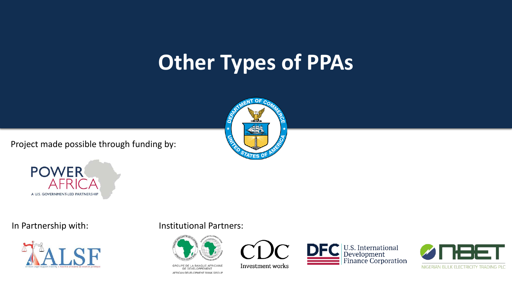### **Other Types of PPAs**

Project made possible through funding by:







### In Partnership with: Institutional Partners:



GROUPE DE LA BANQUE AFRICAINE DE DÉVELOPPEMENT AFRICAN DEVELOPMENT BANK GROUP



Investment works



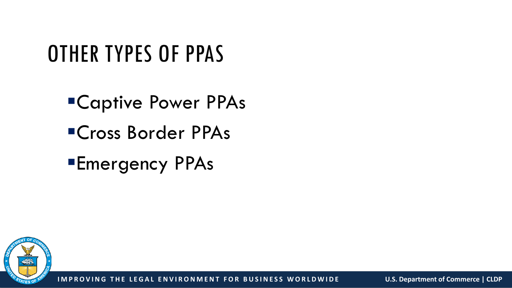### OTHER TYPES OF PPAS

- Captive Power PPAs
- Cross Border PPAs
- Emergency PPAs

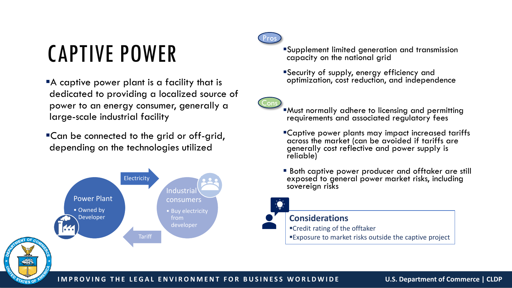## CAPTIVE POWER

- A captive power plant is a facility that is dedicated to providing a localized source of power to an energy consumer, generally a large-scale industrial facility
- Can be connected to the grid or off-grid, depending on the technologies utilized





**Cons** 

- Supplement limited generation and transmission capacity on the national grid
- Security of supply, energy efficiency and optimization, cost reduction, and independence

Must normally adhere to licensing and permitting requirements and associated regulatory fees

- Captive power plants may impact increased tariffs across the market (can be avoided if tariffs are generally cost reflective and power supply is reliable)
- **Both captive power producer and offtaker are still** exposed to general power market risks, including sovereign risks



### **Considerations**

Credit rating of the offtaker

Exposure to market risks outside the captive project



### **IMPROVING THE LEGAL ENVIRONMENT FOR BUSINESS WORLDWIDE U.S. Department of Commerce | CLDP**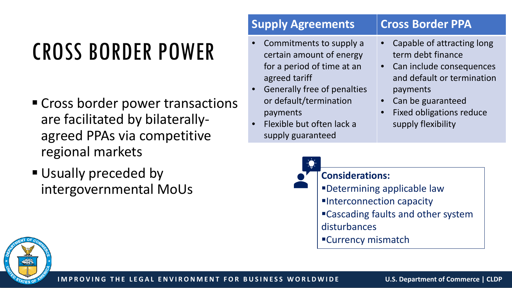# CROSS BORDER POWER

- **Cross border power transactions** are facilitated by bilaterallyagreed PPAs via competitive regional markets
- **Usually preceded by** intergovernmental MoUs

### **Supply Agreements Cross Border PPA**

- Commitments to supply a certain amount of energy for a period of time at an agreed tariff
- Generally free of penalties or default/termination payments
- Flexible but often lack a supply guaranteed
- Capable of attracting long term debt finance
- Can include consequences and default or termination payments
- Can be guaranteed
- Fixed obligations reduce supply flexibility



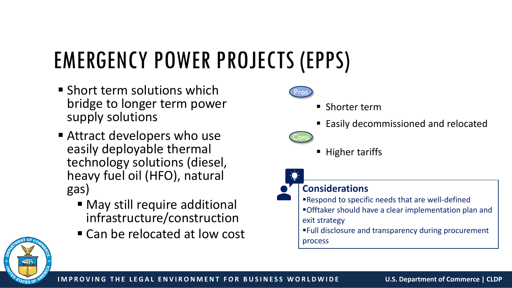# EMERGENCY POWER PROJECTS (EPPS)

- **Short term solutions which** bridge to longer term power supply solutions
- Attract developers who use easily deployable thermal technology solutions (diesel, heavy fuel oil (HFO), natural gas)
	- May still require additional infrastructure/construction
	- Can be relocated at low cost